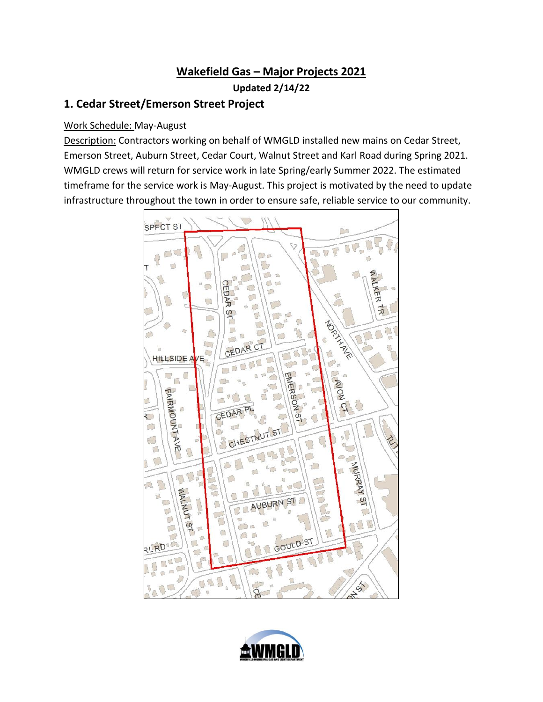# **Wakefield Gas – Major Projects 2021 Updated 2/14/22**

# **1. Cedar Street/Emerson Street Project**

#### Work Schedule: May-August

Description: Contractors working on behalf of WMGLD installed new mains on Cedar Street, Emerson Street, Auburn Street, Cedar Court, Walnut Street and Karl Road during Spring 2021. WMGLD crews will return for service work in late Spring/early Summer 2022. The estimated timeframe for the service work is May-August. This project is motivated by the need to update infrastructure throughout the town in order to ensure safe, reliable service to our community.



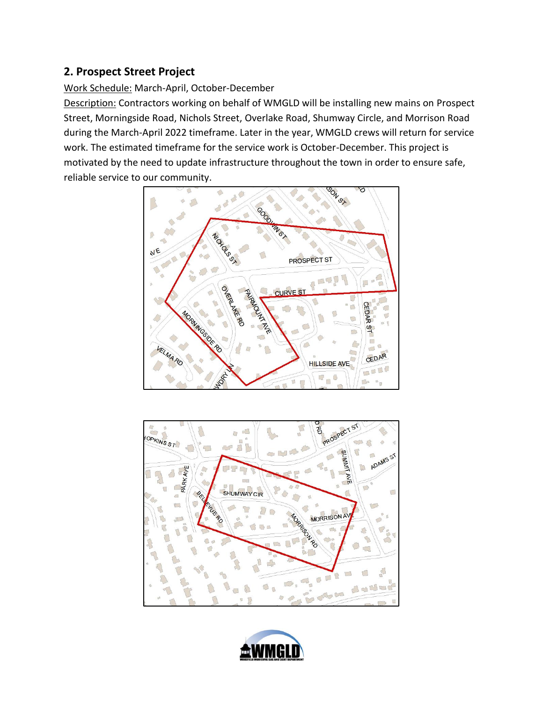### **2. Prospect Street Project**

#### Work Schedule: March-April, October-December

Description: Contractors working on behalf of WMGLD will be installing new mains on Prospect Street, Morningside Road, Nichols Street, Overlake Road, Shumway Circle, and Morrison Road during the March-April 2022 timeframe. Later in the year, WMGLD crews will return for service work. The estimated timeframe for the service work is October-December. This project is motivated by the need to update infrastructure throughout the town in order to ensure safe, reliable service to our community.